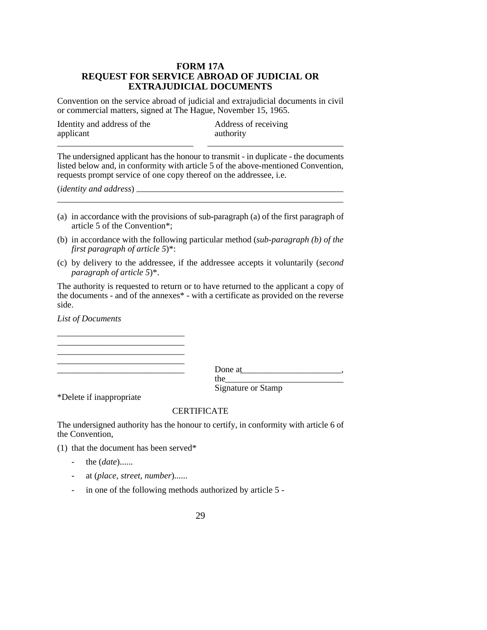## **FORM 17A REQUEST FOR SERVICE ABROAD OF JUDICIAL OR EXTRAJUDICIAL DOCUMENTS**

Convention on the service abroad of judicial and extrajudicial documents in civil or commercial matters, signed at The Hague, November 15, 1965.

| Identity and address of the | Address of receiving |
|-----------------------------|----------------------|
| applicant                   | authority            |
|                             |                      |

The undersigned applicant has the honour to transmit - in duplicate - the documents listed below and, in conformity with article 5 of the above-mentioned Convention, requests prompt service of one copy thereof on the addressee, i.e.

(*identity and address*)

- (a) in accordance with the provisions of sub-paragraph (a) of the first paragraph of article 5 of the Convention\*;
- (b) in accordance with the following particular method (*sub-paragraph (b) of the first paragraph of article 5*)\*:
- (c) by delivery to the addressee, if the addressee accepts it voluntarily (*second paragraph of article 5*)\*.

The authority is requested to return or to have returned to the applicant a copy of the documents - and of the annexes\* - with a certificate as provided on the reverse side.

*List of Documents*

\_\_\_\_\_\_\_\_\_\_\_\_\_\_\_\_\_\_\_\_\_\_\_\_\_\_\_\_\_ Done at\_\_\_\_\_\_\_\_\_\_\_\_\_\_\_\_\_\_\_\_\_\_\_, the\_\_\_\_\_\_\_\_\_\_\_\_\_\_\_\_\_\_\_\_\_\_\_\_\_\_\_

Signature or Stamp

\*Delete if inappropriate

## CERTIFICATE

The undersigned authority has the honour to certify, in conformity with article 6 of the Convention,

(1) that the document has been served\*

\_\_\_\_\_\_\_\_\_\_\_\_\_\_\_\_\_\_\_\_\_\_\_\_\_\_\_\_\_

\_\_\_\_\_\_\_\_\_\_\_\_\_\_\_\_\_\_\_\_\_\_\_\_\_\_\_\_\_

- the (*date*)......
- at (*place, street, number*)......
- in one of the following methods authorized by article 5 -